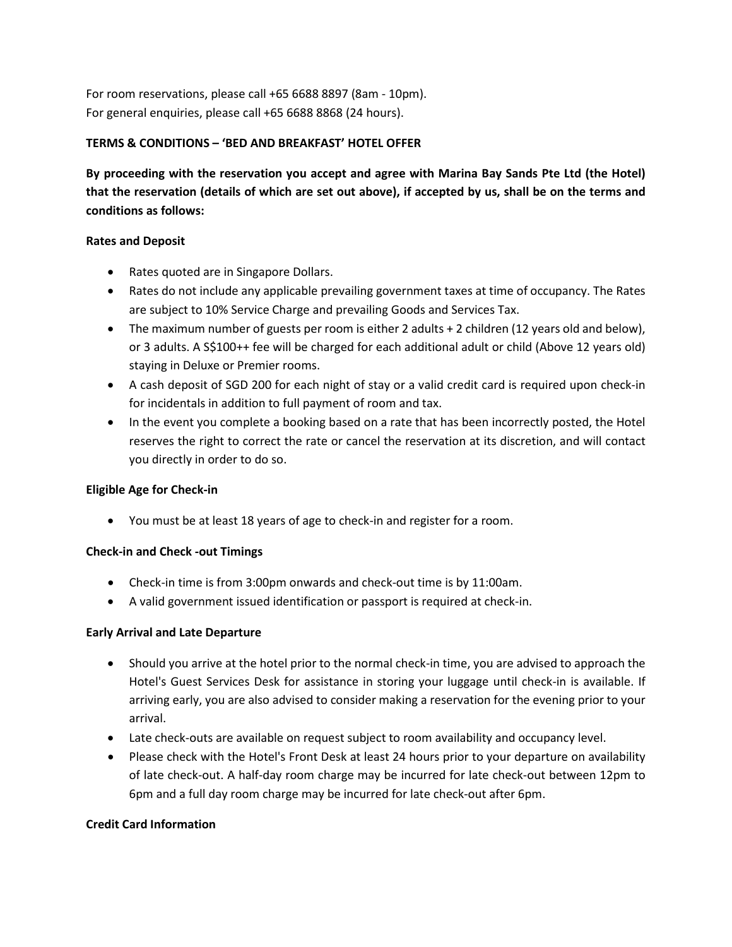For room reservations, please call +65 6688 8897 (8am - 10pm). For general enquiries, please call +65 6688 8868 (24 hours).

## **TERMS & CONDITIONS – 'BED AND BREAKFAST' HOTEL OFFER**

**By proceeding with the reservation you accept and agree with Marina Bay Sands Pte Ltd (the Hotel) that the reservation (details of which are set out above), if accepted by us, shall be on the terms and conditions as follows:**

#### **Rates and Deposit**

- Rates quoted are in Singapore Dollars.
- Rates do not include any applicable prevailing government taxes at time of occupancy. The Rates are subject to 10% Service Charge and prevailing Goods and Services Tax.
- The maximum number of guests per room is either 2 adults + 2 children (12 years old and below), or 3 adults. A S\$100++ fee will be charged for each additional adult or child (Above 12 years old) staying in Deluxe or Premier rooms.
- A cash deposit of SGD 200 for each night of stay or a valid credit card is required upon check-in for incidentals in addition to full payment of room and tax.
- In the event you complete a booking based on a rate that has been incorrectly posted, the Hotel reserves the right to correct the rate or cancel the reservation at its discretion, and will contact you directly in order to do so.

#### **Eligible Age for Check-in**

• You must be at least 18 years of age to check-in and register for a room.

# **Check-in and Check -out Timings**

- Check-in time is from 3:00pm onwards and check-out time is by 11:00am.
- A valid government issued identification or passport is required at check-in.

# **Early Arrival and Late Departure**

- Should you arrive at the hotel prior to the normal check-in time, you are advised to approach the Hotel's Guest Services Desk for assistance in storing your luggage until check-in is available. If arriving early, you are also advised to consider making a reservation for the evening prior to your arrival.
- Late check-outs are available on request subject to room availability and occupancy level.
- Please check with the Hotel's Front Desk at least 24 hours prior to your departure on availability of late check-out. A half-day room charge may be incurred for late check-out between 12pm to 6pm and a full day room charge may be incurred for late check-out after 6pm.

#### **Credit Card Information**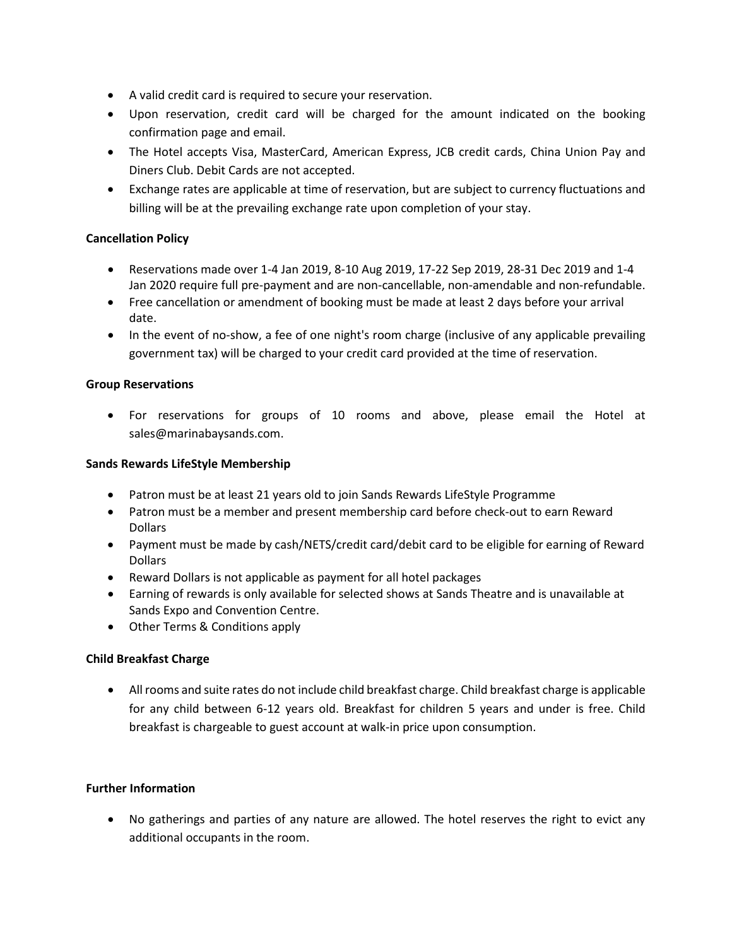- A valid credit card is required to secure your reservation.
- Upon reservation, credit card will be charged for the amount indicated on the booking confirmation page and email.
- The Hotel accepts Visa, MasterCard, American Express, JCB credit cards, China Union Pay and Diners Club. Debit Cards are not accepted.
- Exchange rates are applicable at time of reservation, but are subject to currency fluctuations and billing will be at the prevailing exchange rate upon completion of your stay.

### **Cancellation Policy**

- Reservations made over 1-4 Jan 2019, 8-10 Aug 2019, 17-22 Sep 2019, 28-31 Dec 2019 and 1-4 Jan 2020 require full pre-payment and are non-cancellable, non-amendable and non-refundable.
- Free cancellation or amendment of booking must be made at least 2 days before your arrival date.
- In the event of no-show, a fee of one night's room charge (inclusive of any applicable prevailing government tax) will be charged to your credit card provided at the time of reservation.

#### **Group Reservations**

• For reservations for groups of 10 rooms and above, please email the Hotel at sales@marinabaysands.com.

#### **Sands Rewards LifeStyle Membership**

- Patron must be at least 21 years old to join Sands Rewards LifeStyle Programme
- Patron must be a member and present membership card before check-out to earn Reward Dollars
- Payment must be made by cash/NETS/credit card/debit card to be eligible for earning of Reward **Dollars**
- Reward Dollars is not applicable as payment for all hotel packages
- Earning of rewards is only available for selected shows at Sands Theatre and is unavailable at Sands Expo and Convention Centre.
- Other Terms & Conditions apply

#### **Child Breakfast Charge**

• All rooms and suite rates do not include child breakfast charge. Child breakfast charge is applicable for any child between 6-12 years old. Breakfast for children 5 years and under is free. Child breakfast is chargeable to guest account at walk-in price upon consumption.

### **Further Information**

• No gatherings and parties of any nature are allowed. The hotel reserves the right to evict any additional occupants in the room.